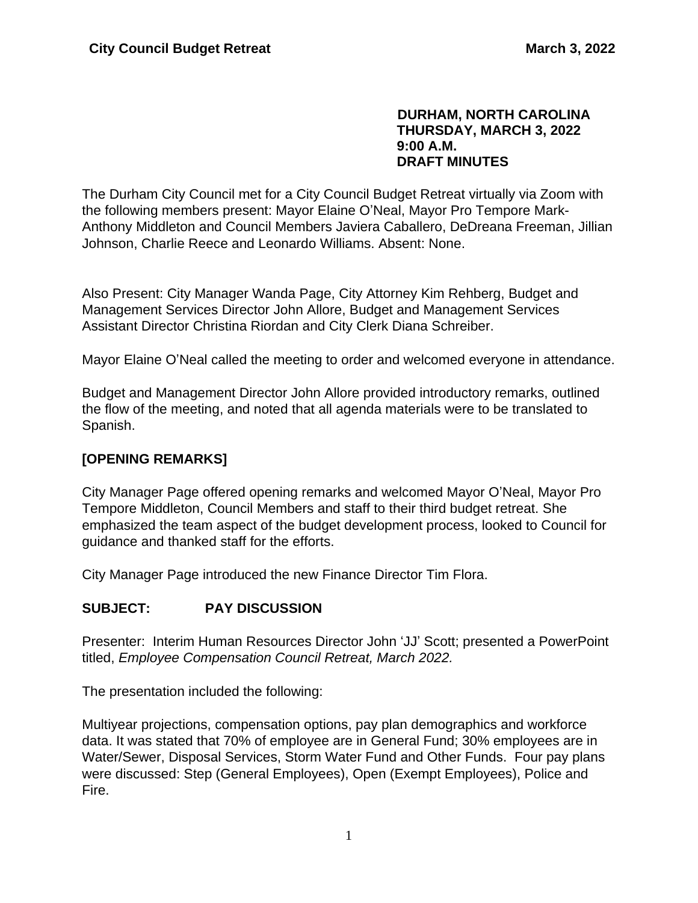#### **DURHAM, NORTH CAROLINA THURSDAY, MARCH 3, 2022 9:00 A.M. DRAFT MINUTES**

The Durham City Council met for a City Council Budget Retreat virtually via Zoom with the following members present: Mayor Elaine O'Neal, Mayor Pro Tempore Mark-Anthony Middleton and Council Members Javiera Caballero, DeDreana Freeman, Jillian Johnson, Charlie Reece and Leonardo Williams. Absent: None.

Also Present: City Manager Wanda Page, City Attorney Kim Rehberg, Budget and Management Services Director John Allore, Budget and Management Services Assistant Director Christina Riordan and City Clerk Diana Schreiber.

Mayor Elaine O'Neal called the meeting to order and welcomed everyone in attendance.

Budget and Management Director John Allore provided introductory remarks, outlined the flow of the meeting, and noted that all agenda materials were to be translated to Spanish.

# **[OPENING REMARKS]**

City Manager Page offered opening remarks and welcomed Mayor O'Neal, Mayor Pro Tempore Middleton, Council Members and staff to their third budget retreat. She emphasized the team aspect of the budget development process, looked to Council for guidance and thanked staff for the efforts.

City Manager Page introduced the new Finance Director Tim Flora.

# **SUBJECT: PAY DISCUSSION**

Presenter: Interim Human Resources Director John 'JJ' Scott; presented a PowerPoint titled, *Employee Compensation Council Retreat, March 2022.*

The presentation included the following:

Multiyear projections, compensation options, pay plan demographics and workforce data. It was stated that 70% of employee are in General Fund; 30% employees are in Water/Sewer, Disposal Services, Storm Water Fund and Other Funds. Four pay plans were discussed: Step (General Employees), Open (Exempt Employees), Police and Fire.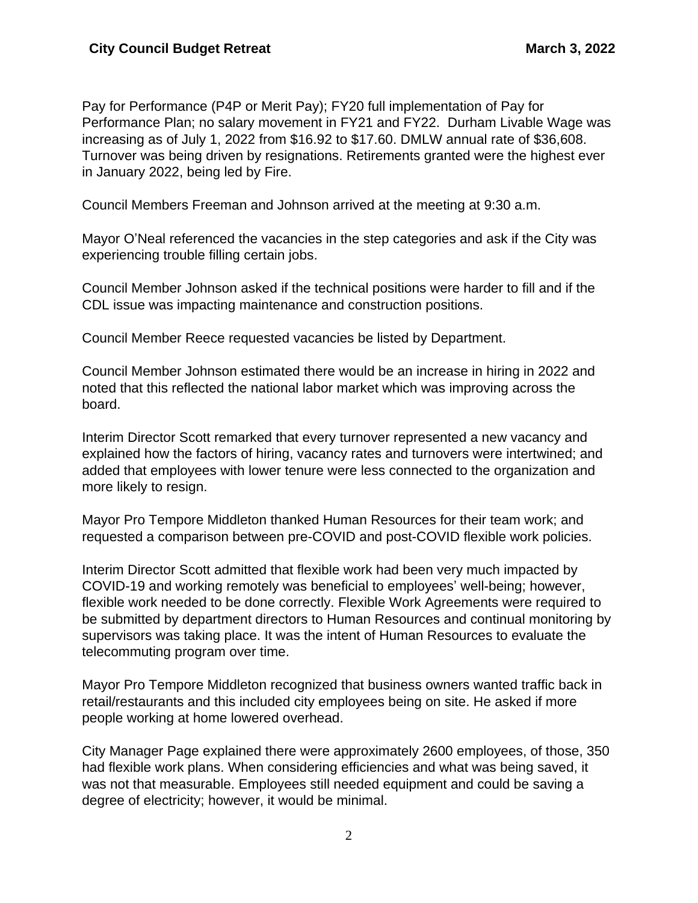Pay for Performance (P4P or Merit Pay); FY20 full implementation of Pay for Performance Plan; no salary movement in FY21 and FY22. Durham Livable Wage was increasing as of July 1, 2022 from \$16.92 to \$17.60. DMLW annual rate of \$36,608. Turnover was being driven by resignations. Retirements granted were the highest ever in January 2022, being led by Fire.

Council Members Freeman and Johnson arrived at the meeting at 9:30 a.m.

Mayor O'Neal referenced the vacancies in the step categories and ask if the City was experiencing trouble filling certain jobs.

Council Member Johnson asked if the technical positions were harder to fill and if the CDL issue was impacting maintenance and construction positions.

Council Member Reece requested vacancies be listed by Department.

Council Member Johnson estimated there would be an increase in hiring in 2022 and noted that this reflected the national labor market which was improving across the board.

Interim Director Scott remarked that every turnover represented a new vacancy and explained how the factors of hiring, vacancy rates and turnovers were intertwined; and added that employees with lower tenure were less connected to the organization and more likely to resign.

Mayor Pro Tempore Middleton thanked Human Resources for their team work; and requested a comparison between pre-COVID and post-COVID flexible work policies.

Interim Director Scott admitted that flexible work had been very much impacted by COVID-19 and working remotely was beneficial to employees' well-being; however, flexible work needed to be done correctly. Flexible Work Agreements were required to be submitted by department directors to Human Resources and continual monitoring by supervisors was taking place. It was the intent of Human Resources to evaluate the telecommuting program over time.

Mayor Pro Tempore Middleton recognized that business owners wanted traffic back in retail/restaurants and this included city employees being on site. He asked if more people working at home lowered overhead.

City Manager Page explained there were approximately 2600 employees, of those, 350 had flexible work plans. When considering efficiencies and what was being saved, it was not that measurable. Employees still needed equipment and could be saving a degree of electricity; however, it would be minimal.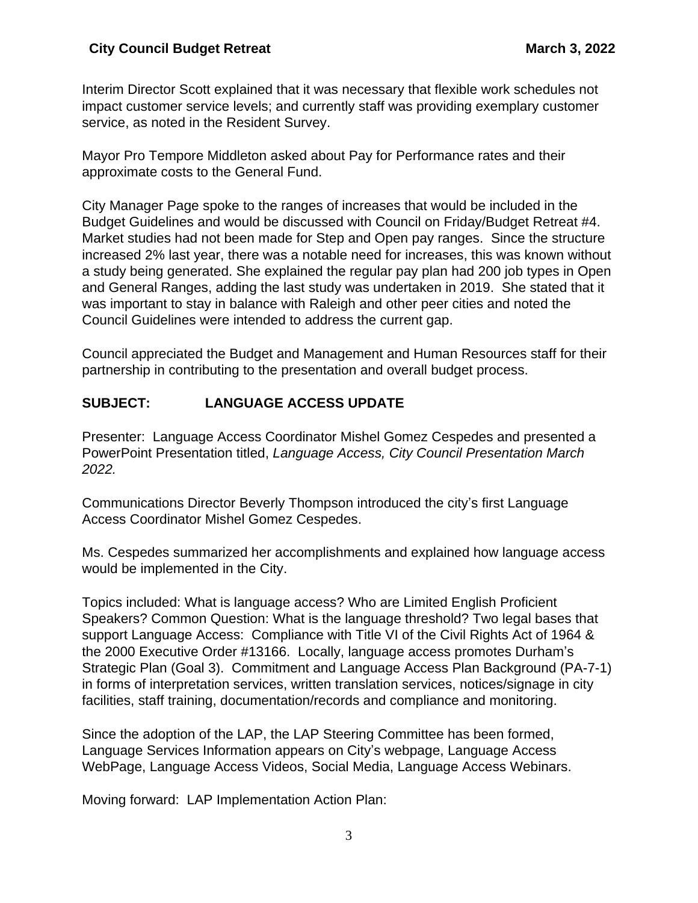Interim Director Scott explained that it was necessary that flexible work schedules not impact customer service levels; and currently staff was providing exemplary customer service, as noted in the Resident Survey.

Mayor Pro Tempore Middleton asked about Pay for Performance rates and their approximate costs to the General Fund.

City Manager Page spoke to the ranges of increases that would be included in the Budget Guidelines and would be discussed with Council on Friday/Budget Retreat #4. Market studies had not been made for Step and Open pay ranges. Since the structure increased 2% last year, there was a notable need for increases, this was known without a study being generated. She explained the regular pay plan had 200 job types in Open and General Ranges, adding the last study was undertaken in 2019. She stated that it was important to stay in balance with Raleigh and other peer cities and noted the Council Guidelines were intended to address the current gap.

Council appreciated the Budget and Management and Human Resources staff for their partnership in contributing to the presentation and overall budget process.

# **SUBJECT: LANGUAGE ACCESS UPDATE**

Presenter: Language Access Coordinator Mishel Gomez Cespedes and presented a PowerPoint Presentation titled, *Language Access, City Council Presentation March 2022.*

Communications Director Beverly Thompson introduced the city's first Language Access Coordinator Mishel Gomez Cespedes.

Ms. Cespedes summarized her accomplishments and explained how language access would be implemented in the City.

Topics included: What is language access? Who are Limited English Proficient Speakers? Common Question: What is the language threshold? Two legal bases that support Language Access: Compliance with Title VI of the Civil Rights Act of 1964 & the 2000 Executive Order #13166. Locally, language access promotes Durham's Strategic Plan (Goal 3). Commitment and Language Access Plan Background (PA-7-1) in forms of interpretation services, written translation services, notices/signage in city facilities, staff training, documentation/records and compliance and monitoring.

Since the adoption of the LAP, the LAP Steering Committee has been formed, Language Services Information appears on City's webpage, Language Access WebPage, Language Access Videos, Social Media, Language Access Webinars.

Moving forward: LAP Implementation Action Plan: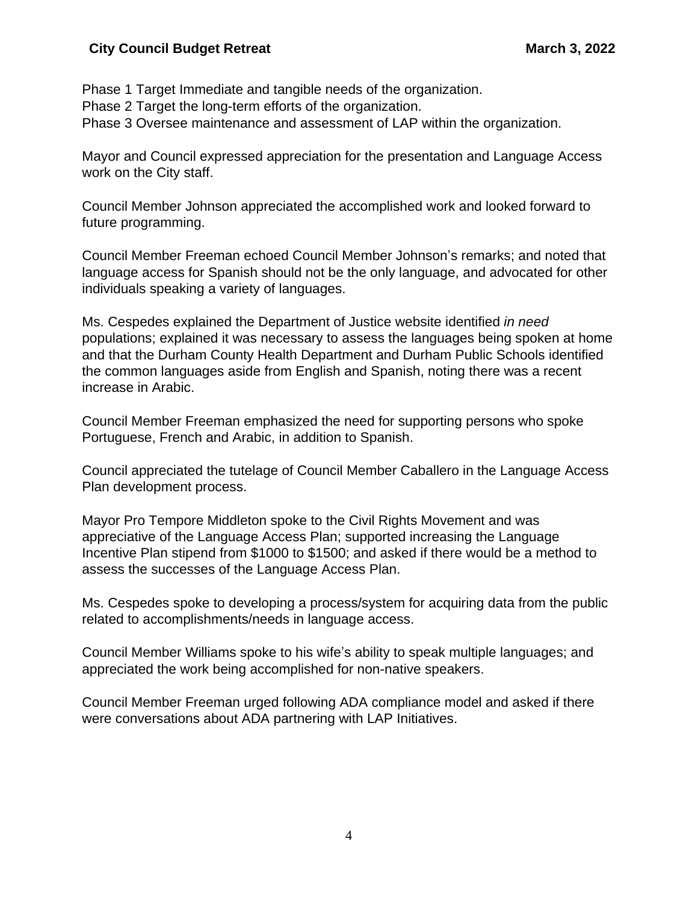#### **City Council Budget Retreat March 3, 2022**

Phase 1 Target Immediate and tangible needs of the organization. Phase 2 Target the long-term efforts of the organization. Phase 3 Oversee maintenance and assessment of LAP within the organization.

Mayor and Council expressed appreciation for the presentation and Language Access work on the City staff.

Council Member Johnson appreciated the accomplished work and looked forward to future programming.

Council Member Freeman echoed Council Member Johnson's remarks; and noted that language access for Spanish should not be the only language, and advocated for other individuals speaking a variety of languages.

Ms. Cespedes explained the Department of Justice website identified *in need* populations; explained it was necessary to assess the languages being spoken at home and that the Durham County Health Department and Durham Public Schools identified the common languages aside from English and Spanish, noting there was a recent increase in Arabic.

Council Member Freeman emphasized the need for supporting persons who spoke Portuguese, French and Arabic, in addition to Spanish.

Council appreciated the tutelage of Council Member Caballero in the Language Access Plan development process.

Mayor Pro Tempore Middleton spoke to the Civil Rights Movement and was appreciative of the Language Access Plan; supported increasing the Language Incentive Plan stipend from \$1000 to \$1500; and asked if there would be a method to assess the successes of the Language Access Plan.

Ms. Cespedes spoke to developing a process/system for acquiring data from the public related to accomplishments/needs in language access.

Council Member Williams spoke to his wife's ability to speak multiple languages; and appreciated the work being accomplished for non-native speakers.

Council Member Freeman urged following ADA compliance model and asked if there were conversations about ADA partnering with LAP Initiatives.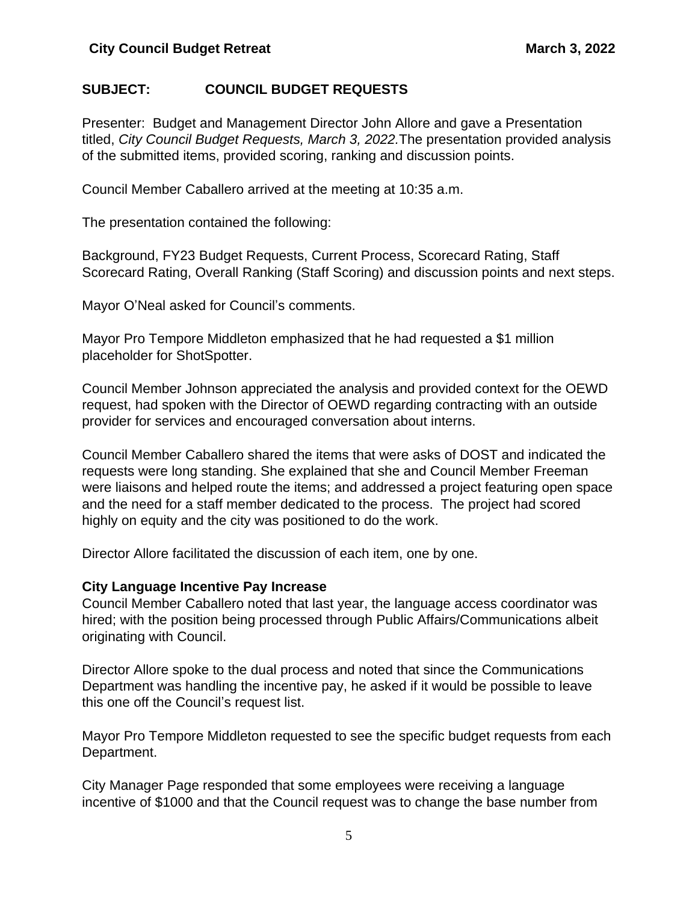## **SUBJECT: COUNCIL BUDGET REQUESTS**

Presenter: Budget and Management Director John Allore and gave a Presentation titled, *City Council Budget Requests, March 3, 2022.*The presentation provided analysis of the submitted items, provided scoring, ranking and discussion points.

Council Member Caballero arrived at the meeting at 10:35 a.m.

The presentation contained the following:

Background, FY23 Budget Requests, Current Process, Scorecard Rating, Staff Scorecard Rating, Overall Ranking (Staff Scoring) and discussion points and next steps.

Mayor O'Neal asked for Council's comments.

Mayor Pro Tempore Middleton emphasized that he had requested a \$1 million placeholder for ShotSpotter.

Council Member Johnson appreciated the analysis and provided context for the OEWD request, had spoken with the Director of OEWD regarding contracting with an outside provider for services and encouraged conversation about interns.

Council Member Caballero shared the items that were asks of DOST and indicated the requests were long standing. She explained that she and Council Member Freeman were liaisons and helped route the items; and addressed a project featuring open space and the need for a staff member dedicated to the process. The project had scored highly on equity and the city was positioned to do the work.

Director Allore facilitated the discussion of each item, one by one.

#### **City Language Incentive Pay Increase**

Council Member Caballero noted that last year, the language access coordinator was hired; with the position being processed through Public Affairs/Communications albeit originating with Council.

Director Allore spoke to the dual process and noted that since the Communications Department was handling the incentive pay, he asked if it would be possible to leave this one off the Council's request list.

Mayor Pro Tempore Middleton requested to see the specific budget requests from each Department.

City Manager Page responded that some employees were receiving a language incentive of \$1000 and that the Council request was to change the base number from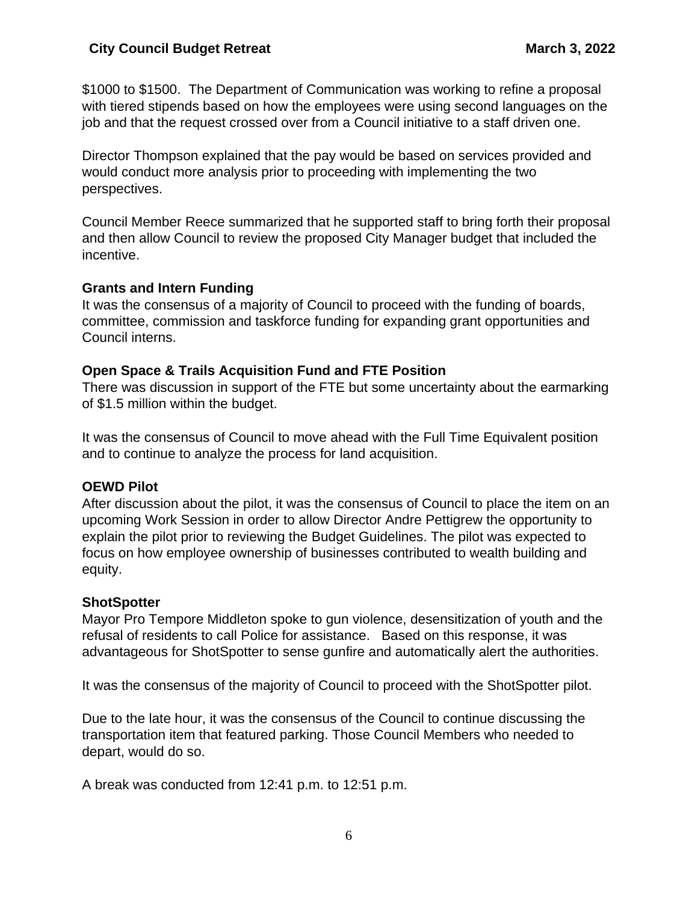\$1000 to \$1500. The Department of Communication was working to refine a proposal with tiered stipends based on how the employees were using second languages on the job and that the request crossed over from a Council initiative to a staff driven one.

Director Thompson explained that the pay would be based on services provided and would conduct more analysis prior to proceeding with implementing the two perspectives.

Council Member Reece summarized that he supported staff to bring forth their proposal and then allow Council to review the proposed City Manager budget that included the incentive.

### **Grants and Intern Funding**

It was the consensus of a majority of Council to proceed with the funding of boards, committee, commission and taskforce funding for expanding grant opportunities and Council interns.

# **Open Space & Trails Acquisition Fund and FTE Position**

There was discussion in support of the FTE but some uncertainty about the earmarking of \$1.5 million within the budget.

It was the consensus of Council to move ahead with the Full Time Equivalent position and to continue to analyze the process for land acquisition.

# **OEWD Pilot**

After discussion about the pilot, it was the consensus of Council to place the item on an upcoming Work Session in order to allow Director Andre Pettigrew the opportunity to explain the pilot prior to reviewing the Budget Guidelines. The pilot was expected to focus on how employee ownership of businesses contributed to wealth building and equity.

# **ShotSpotter**

Mayor Pro Tempore Middleton spoke to gun violence, desensitization of youth and the refusal of residents to call Police for assistance. Based on this response, it was advantageous for ShotSpotter to sense gunfire and automatically alert the authorities.

It was the consensus of the majority of Council to proceed with the ShotSpotter pilot.

Due to the late hour, it was the consensus of the Council to continue discussing the transportation item that featured parking. Those Council Members who needed to depart, would do so.

A break was conducted from 12:41 p.m. to 12:51 p.m.